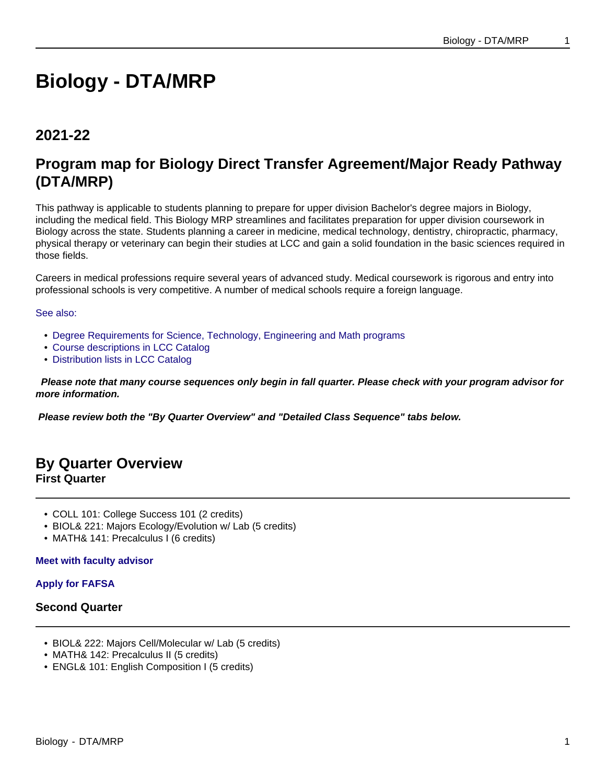# **Biology - DTA/MRP**

# **2021-22**

# **Program map for Biology Direct Transfer Agreement/Major Ready Pathway (DTA/MRP)**

This pathway is applicable to students planning to prepare for upper division Bachelor's degree majors in Biology, including the medical field. This Biology MRP streamlines and facilitates preparation for upper division coursework in Biology across the state. Students planning a career in medicine, medical technology, dentistry, chiropractic, pharmacy, physical therapy or veterinary can begin their studies at LCC and gain a solid foundation in the basic sciences required in those fields.

Careers in medical professions require several years of advanced study. Medical coursework is rigorous and entry into professional schools is very competitive. A number of medical schools require a foreign language.

#### See also:

- Degree Requirements for Science, Technology, Engineering and Math programs
- Course descriptions in LCC Catalog
- Distribution lists in LCC Catalog

 **Please note that many course sequences only begin in fall quarter. Please check with your program advisor for more information.**

**Please review both the "By Quarter Overview" and "Detailed Class Sequence" tabs below.**

# **By Quarter Overview First Quarter**

- COLL 101: College Success 101 (2 credits)
- BIOL& 221: Majors Ecology/Evolution w/ Lab (5 credits)
- MATH& 141: Precalculus I (6 credits)

#### **Meet with faculty advisor**

#### **Apply for FAFSA**

## **Second Quarter**

- BIOL& 222: Majors Cell/Molecular w/ Lab (5 credits)
- MATH& 142: Precalculus II (5 credits)
- ENGL& 101: English Composition I (5 credits)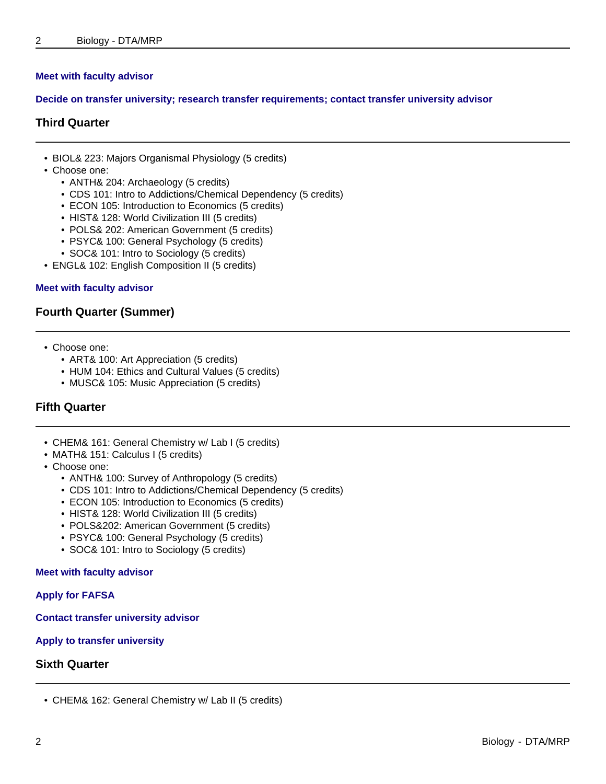#### **Meet with faculty advisor**

#### **Decide on transfer university; research transfer requirements; contact transfer university advisor**

#### **Third Quarter**

- BIOL& 223: Majors Organismal Physiology (5 credits)
- Choose one:
	- ANTH& 204: Archaeology (5 credits)
	- CDS 101: Intro to Addictions/Chemical Dependency (5 credits)
	- ECON 105: Introduction to Economics (5 credits)
	- HIST& 128: World Civilization III (5 credits)
	- POLS& 202: American Government (5 credits)
	- PSYC& 100: General Psychology (5 credits)
	- SOC& 101: Intro to Sociology (5 credits)
- ENGL& 102: English Composition II (5 credits)

#### **Meet with faculty advisor**

#### **Fourth Quarter (Summer)**

- Choose one:
	- ART& 100: Art Appreciation (5 credits)
	- HUM 104: Ethics and Cultural Values (5 credits)
	- MUSC& 105: Music Appreciation (5 credits)

## **Fifth Quarter**

- CHEM& 161: General Chemistry w/ Lab I (5 credits)
- MATH& 151: Calculus I (5 credits)
- Choose one:
	- ANTH& 100: Survey of Anthropology (5 credits)
	- CDS 101: Intro to Addictions/Chemical Dependency (5 credits)
	- ECON 105: Introduction to Economics (5 credits)
	- HIST& 128: World Civilization III (5 credits)
	- POLS&202: American Government (5 credits)
	- PSYC& 100: General Psychology (5 credits)
	- SOC& 101: Intro to Sociology (5 credits)

#### **Meet with faculty advisor**

#### **Apply for FAFSA**

**Contact transfer university advisor**

**Apply to transfer university**

#### **Sixth Quarter**

<sup>•</sup> CHEM& 162: General Chemistry w/ Lab II (5 credits)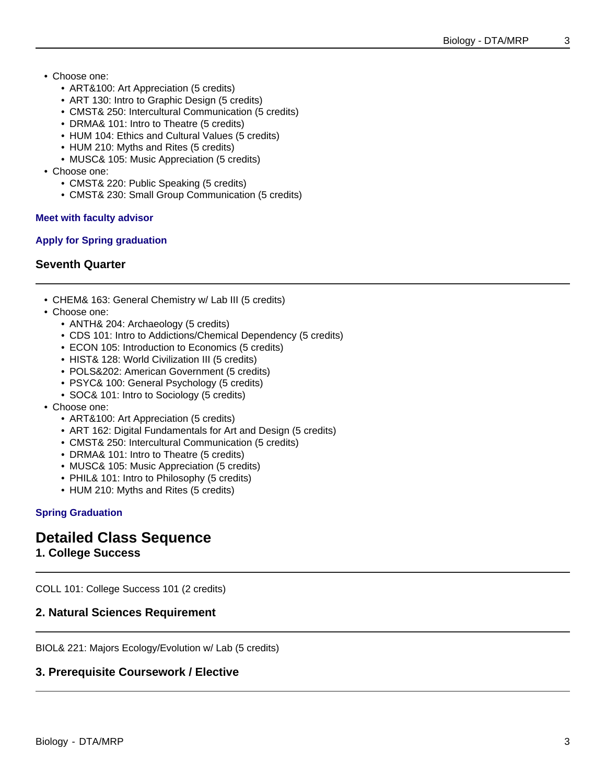- Choose one:
	- ART&100: Art Appreciation (5 credits)
	- ART 130: Intro to Graphic Design (5 credits)
	- CMST& 250: Intercultural Communication (5 credits)
	- DRMA& 101: Intro to Theatre (5 credits)
	- HUM 104: Ethics and Cultural Values (5 credits)
	- HUM 210: Myths and Rites (5 credits)
	- MUSC& 105: Music Appreciation (5 credits)
- Choose one:
	- CMST& 220: Public Speaking (5 credits)
	- CMST& 230: Small Group Communication (5 credits)

#### **Meet with faculty advisor**

#### **Apply for Spring graduation**

# **Seventh Quarter**

- CHEM& 163: General Chemistry w/ Lab III (5 credits)
- Choose one:
	- ANTH& 204: Archaeology (5 credits)
	- CDS 101: Intro to Addictions/Chemical Dependency (5 credits)
	- ECON 105: Introduction to Economics (5 credits)
	- HIST& 128: World Civilization III (5 credits)
	- POLS&202: American Government (5 credits)
	- PSYC& 100: General Psychology (5 credits)
	- SOC& 101: Intro to Sociology (5 credits)
- Choose one:
	- ART&100: Art Appreciation (5 credits)
	- ART 162: Digital Fundamentals for Art and Design (5 credits)
	- CMST& 250: Intercultural Communication (5 credits)
	- DRMA& 101: Intro to Theatre (5 credits)
	- MUSC& 105: Music Appreciation (5 credits)
	- PHIL& 101: Intro to Philosophy (5 credits)
	- HUM 210: Myths and Rites (5 credits)

## **Spring Graduation**

# **Detailed Class Sequence**

# **1. College Success**

COLL 101: College Success 101 (2 credits)

# **2. Natural Sciences Requirement**

BIOL& 221: Majors Ecology/Evolution w/ Lab (5 credits)

# **3. Prerequisite Coursework / Elective**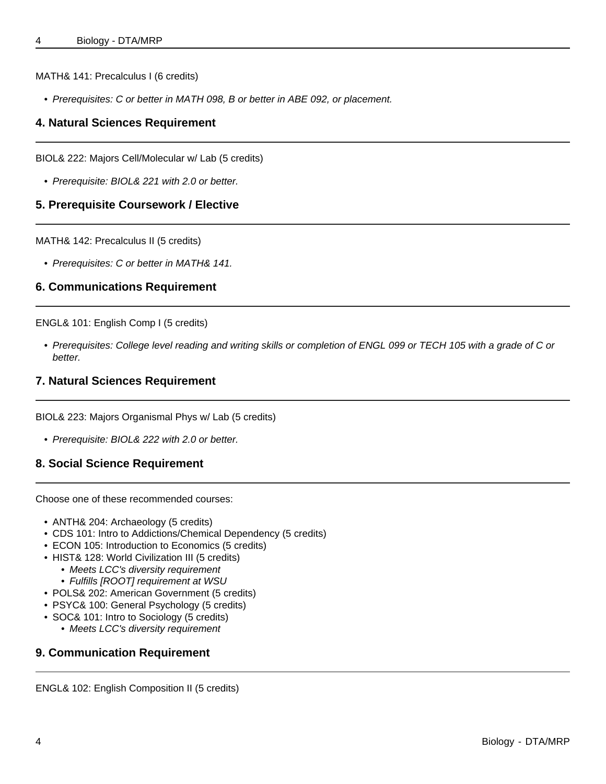#### MATH& 141: Precalculus I (6 credits)

• Prerequisites: C or better in MATH 098, B or better in ABE 092, or placement.

# **4. Natural Sciences Requirement**

BIOL& 222: Majors Cell/Molecular w/ Lab (5 credits)

• Prerequisite: BIOL& 221 with 2.0 or better.

# **5. Prerequisite Coursework / Elective**

MATH& 142: Precalculus II (5 credits)

• Prerequisites: C or better in MATH& 141.

## **6. Communications Requirement**

ENGL& 101: English Comp I (5 credits)

• Prerequisites: College level reading and writing skills or completion of ENGL 099 or TECH 105 with a grade of C or better.

## **7. Natural Sciences Requirement**

BIOL& 223: Majors Organismal Phys w/ Lab (5 credits)

- Prerequisite: BIOL& 222 with 2.0 or better.
- **8. Social Science Requirement**

Choose one of these recommended courses:

- ANTH& 204: Archaeology (5 credits)
- CDS 101: Intro to Addictions/Chemical Dependency (5 credits)
- ECON 105: Introduction to Economics (5 credits)
- HIST& 128: World Civilization III (5 credits)
	- Meets LCC's diversity requirement
	- Fulfills [ROOT] requirement at WSU
- POLS& 202: American Government (5 credits)
- PSYC& 100: General Psychology (5 credits)
- SOC& 101: Intro to Sociology (5 credits)
	- Meets LCC's diversity requirement

# **9. Communication Requirement**

ENGL& 102: English Composition II (5 credits)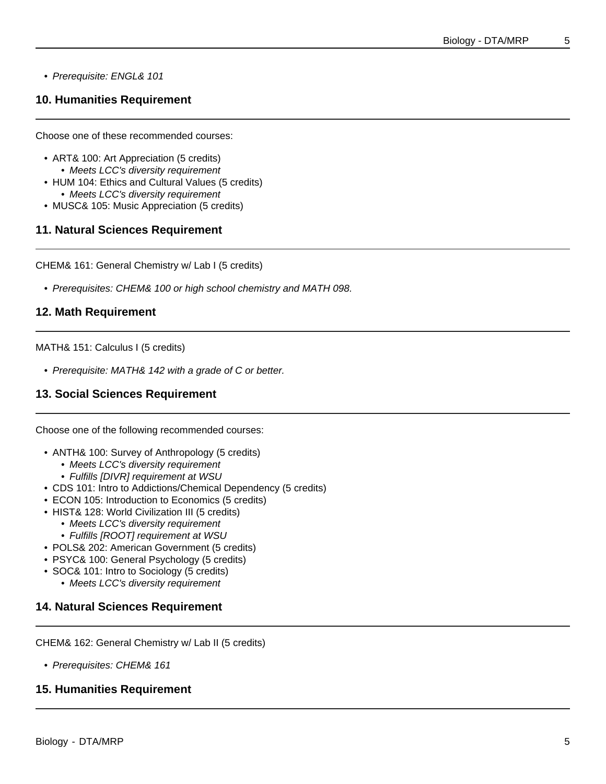#### • Prerequisite: ENGL& 101

# **10. Humanities Requirement**

Choose one of these recommended courses:

- ART& 100: Art Appreciation (5 credits)
	- Meets LCC's diversity requirement
- HUM 104: Ethics and Cultural Values (5 credits) • Meets LCC's diversity requirement
- MUSC& 105: Music Appreciation (5 credits)

## **11. Natural Sciences Requirement**

CHEM& 161: General Chemistry w/ Lab I (5 credits)

• Prerequisites: CHEM& 100 or high school chemistry and MATH 098.

# **12. Math Requirement**

#### MATH& 151: Calculus I (5 credits)

• Prerequisite: MATH& 142 with a grade of C or better.

# **13. Social Sciences Requirement**

Choose one of the following recommended courses:

- ANTH& 100: Survey of Anthropology (5 credits)
	- Meets LCC's diversity requirement
	- Fulfills [DIVR] requirement at WSU
- CDS 101: Intro to Addictions/Chemical Dependency (5 credits)
- ECON 105: Introduction to Economics (5 credits)
- HIST& 128: World Civilization III (5 credits)
	- Meets LCC's diversity requirement
	- Fulfills [ROOT] requirement at WSU
- POLS& 202: American Government (5 credits)
- PSYC& 100: General Psychology (5 credits)
- SOC& 101: Intro to Sociology (5 credits)
	- Meets LCC's diversity requirement

# **14. Natural Sciences Requirement**

CHEM& 162: General Chemistry w/ Lab II (5 credits)

• Prerequisites: CHEM& 161

# **15. Humanities Requirement**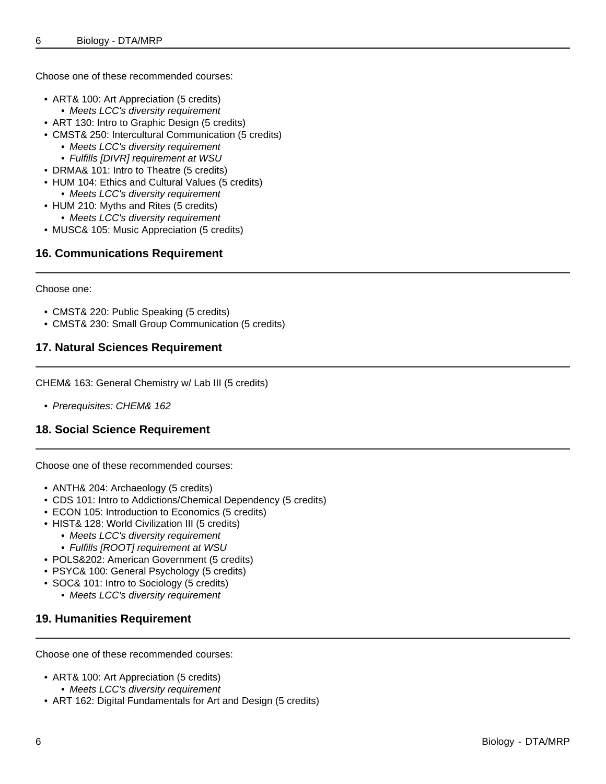Choose one of these recommended courses:

- ART& 100: Art Appreciation (5 credits)
- Meets LCC's diversity requirement
- ART 130: Intro to Graphic Design (5 credits)
- CMST& 250: Intercultural Communication (5 credits)
	- Meets LCC's diversity requirement
	- Fulfills [DIVR] requirement at WSU
- DRMA& 101: Intro to Theatre (5 credits)
- HUM 104: Ethics and Cultural Values (5 credits) • Meets LCC's diversity requirement
- HUM 210: Myths and Rites (5 credits)
	- Meets LCC's diversity requirement
- MUSC& 105: Music Appreciation (5 credits)

# **16. Communications Requirement**

Choose one:

- CMST& 220: Public Speaking (5 credits)
- CMST& 230: Small Group Communication (5 credits)

# **17. Natural Sciences Requirement**

CHEM& 163: General Chemistry w/ Lab III (5 credits)

• Prerequisites: CHEM& 162

# **18. Social Science Requirement**

Choose one of these recommended courses:

- ANTH& 204: Archaeology (5 credits)
- CDS 101: Intro to Addictions/Chemical Dependency (5 credits)
- ECON 105: Introduction to Economics (5 credits)
- HIST& 128: World Civilization III (5 credits)
	- Meets LCC's diversity requirement
	- Fulfills [ROOT] requirement at WSU
- POLS&202: American Government (5 credits)
- PSYC& 100: General Psychology (5 credits)
- SOC& 101: Intro to Sociology (5 credits)
	- Meets LCC's diversity requirement

# **19. Humanities Requirement**

Choose one of these recommended courses:

- ART& 100: Art Appreciation (5 credits)
	- Meets LCC's diversity requirement
- ART 162: Digital Fundamentals for Art and Design (5 credits)